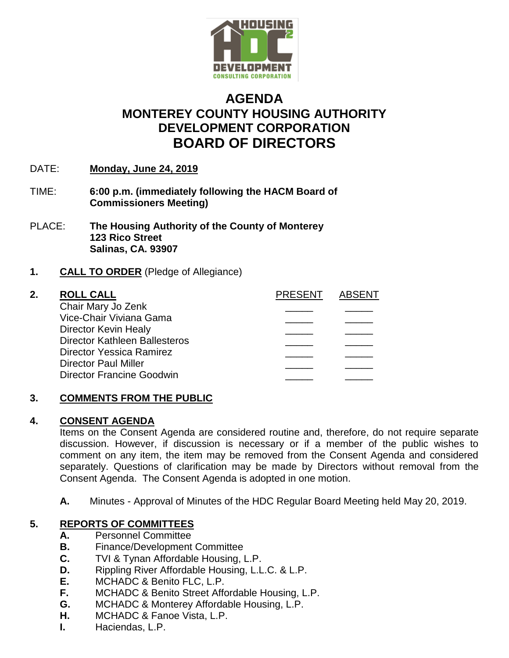

# **AGENDA MONTEREY COUNTY HOUSING AUTHORITY DEVELOPMENT CORPORATION BOARD OF DIRECTORS**

- DATE: **Monday, June 24, 2019**
- TIME: **6:00 p.m. (immediately following the HACM Board of Commissioners Meeting)**
- PLACE: **The Housing Authority of the County of Monterey 123 Rico Street Salinas, CA. 93907**

# **1. CALL TO ORDER** (Pledge of Allegiance)

| 2. | <b>ROLL CALL</b>                     | <b>PRESENT</b> | <b>ABSENT</b> |
|----|--------------------------------------|----------------|---------------|
|    | Chair Mary Jo Zenk                   |                |               |
|    | Vice-Chair Viviana Gama              |                |               |
|    | Director Kevin Healy                 |                |               |
|    | <b>Director Kathleen Ballesteros</b> |                |               |
|    | Director Yessica Ramirez             |                |               |
|    | <b>Director Paul Miller</b>          |                |               |
|    | <b>Director Francine Goodwin</b>     |                |               |
|    |                                      |                |               |

### **3. COMMENTS FROM THE PUBLIC**

### **4. CONSENT AGENDA**

Items on the Consent Agenda are considered routine and, therefore, do not require separate discussion. However, if discussion is necessary or if a member of the public wishes to comment on any item, the item may be removed from the Consent Agenda and considered separately. Questions of clarification may be made by Directors without removal from the Consent Agenda. The Consent Agenda is adopted in one motion.

**A.** Minutes - Approval of Minutes of the HDC Regular Board Meeting held May 20, 2019.

# **5. REPORTS OF COMMITTEES**

- **A.** Personnel Committee
- **B.** Finance/Development Committee
- **C.** TVI & Tynan Affordable Housing, L.P.
- **D.** Rippling River Affordable Housing, L.L.C. & L.P.
- **E.** MCHADC & Benito FLC, L.P.
- **F.** MCHADC & Benito Street Affordable Housing, L.P.
- **G.** MCHADC & Monterey Affordable Housing, L.P.
- **H.** MCHADC & Fanoe Vista, L.P.
- **I.** Haciendas, L.P.